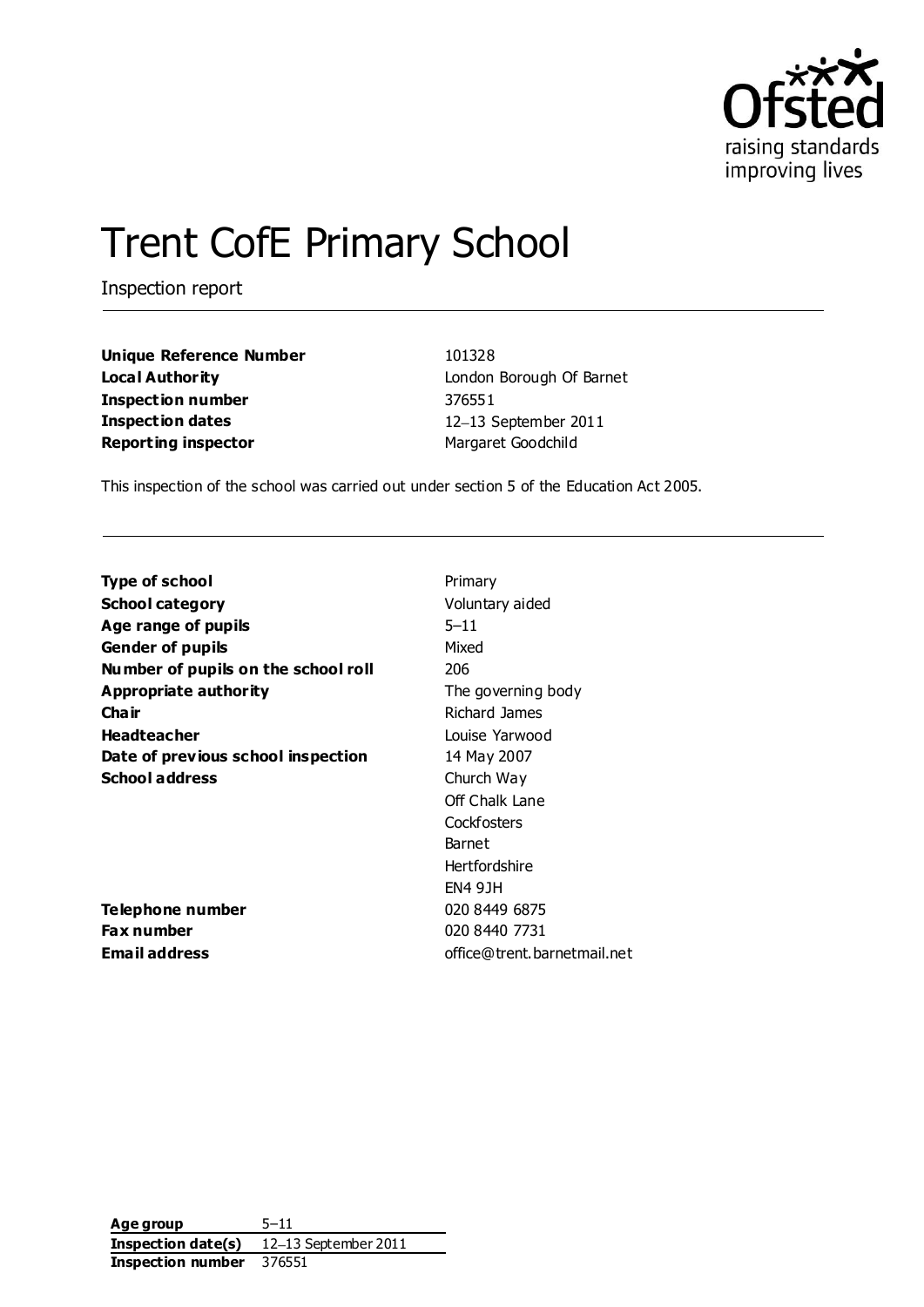

# Trent CofE Primary School

Inspection report

**Unique Reference Number** 101328 **Local Authority London Borough Of Barnet Inspection number** 376551 **Inspection dates** 12-13 September 2011 **Reporting inspector** Margaret Goodchild

This inspection of the school was carried out under section 5 of the Education Act 2005.

| Type of school                      | Primary                     |
|-------------------------------------|-----------------------------|
| <b>School category</b>              | Voluntary aided             |
| Age range of pupils                 | $5 - 11$                    |
| <b>Gender of pupils</b>             | Mixed                       |
| Number of pupils on the school roll | 206                         |
| Appropriate authority               | The governing body          |
| Cha ir                              | Richard James               |
| <b>Headteacher</b>                  | Louise Yarwood              |
| Date of previous school inspection  | 14 May 2007                 |
| <b>School address</b>               | Church Way                  |
|                                     | Off Chalk Lane              |
|                                     | Cockfosters                 |
|                                     | Barnet                      |
|                                     | Hertfordshire               |
|                                     | <b>EN4 9JH</b>              |
| Telephone number                    | 020 8449 6875               |
| Fax number                          | 020 8440 7731               |
| Email address                       | office@trent.barnetmail.net |
|                                     |                             |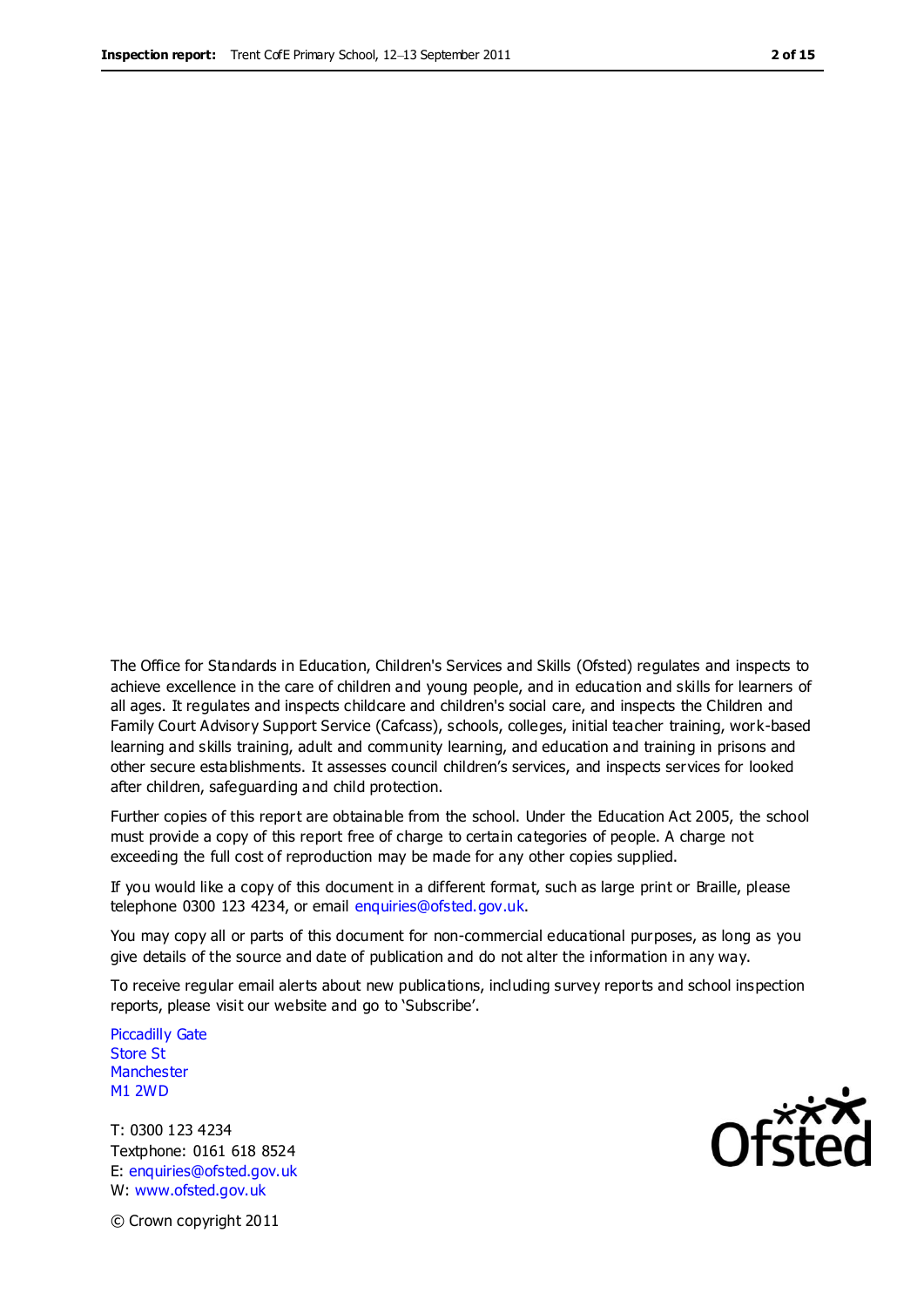The Office for Standards in Education, Children's Services and Skills (Ofsted) regulates and inspects to achieve excellence in the care of children and young people, and in education and skills for learners of all ages. It regulates and inspects childcare and children's social care, and inspects the Children and Family Court Advisory Support Service (Cafcass), schools, colleges, initial teacher training, work-based learning and skills training, adult and community learning, and education and training in prisons and other secure establishments. It assesses council children's services, and inspects services for looked after children, safeguarding and child protection.

Further copies of this report are obtainable from the school. Under the Education Act 2005, the school must provide a copy of this report free of charge to certain categories of people. A charge not exceeding the full cost of reproduction may be made for any other copies supplied.

If you would like a copy of this document in a different format, such as large print or Braille, please telephone 0300 123 4234, or email enquiries@ofsted.gov.uk.

You may copy all or parts of this document for non-commercial educational purposes, as long as you give details of the source and date of publication and do not alter the information in any way.

To receive regular email alerts about new publications, including survey reports and school inspection reports, please visit our website and go to 'Subscribe'.

Piccadilly Gate Store St **Manchester** M1 2WD

T: 0300 123 4234 Textphone: 0161 618 8524 E: enquiries@ofsted.gov.uk W: www.ofsted.gov.uk



© Crown copyright 2011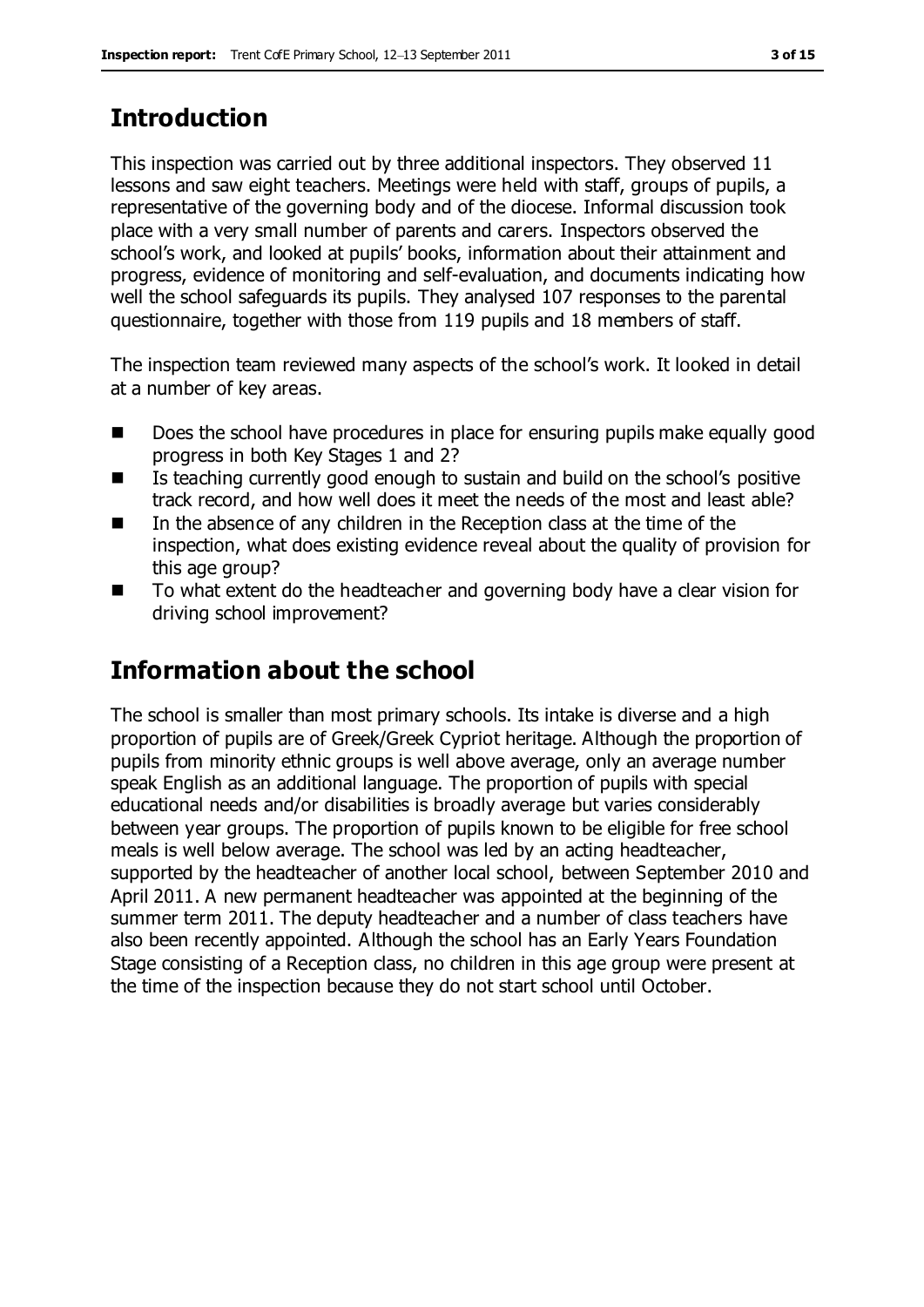# **Introduction**

This inspection was carried out by three additional inspectors. They observed 11 lessons and saw eight teachers. Meetings were held with staff, groups of pupils, a representative of the governing body and of the diocese. Informal discussion took place with a very small number of parents and carers. Inspectors observed the school's work, and looked at pupils' books, information about their attainment and progress, evidence of monitoring and self-evaluation, and documents indicating how well the school safeguards its pupils. They analysed 107 responses to the parental questionnaire, together with those from 119 pupils and 18 members of staff.

The inspection team reviewed many aspects of the school's work. It looked in detail at a number of key areas.

- Does the school have procedures in place for ensuring pupils make equally good progress in both Key Stages 1 and 2?
- $\blacksquare$  Is teaching currently good enough to sustain and build on the school's positive track record, and how well does it meet the needs of the most and least able?
- $\blacksquare$  In the absence of any children in the Reception class at the time of the inspection, what does existing evidence reveal about the quality of provision for this age group?
- To what extent do the headteacher and governing body have a clear vision for driving school improvement?

# **Information about the school**

The school is smaller than most primary schools. Its intake is diverse and a high proportion of pupils are of Greek/Greek Cypriot heritage. Although the proportion of pupils from minority ethnic groups is well above average, only an average number speak English as an additional language. The proportion of pupils with special educational needs and/or disabilities is broadly average but varies considerably between year groups. The proportion of pupils known to be eligible for free school meals is well below average. The school was led by an acting headteacher, supported by the headteacher of another local school, between September 2010 and April 2011. A new permanent headteacher was appointed at the beginning of the summer term 2011. The deputy headteacher and a number of class teachers have also been recently appointed. Although the school has an Early Years Foundation Stage consisting of a Reception class, no children in this age group were present at the time of the inspection because they do not start school until October.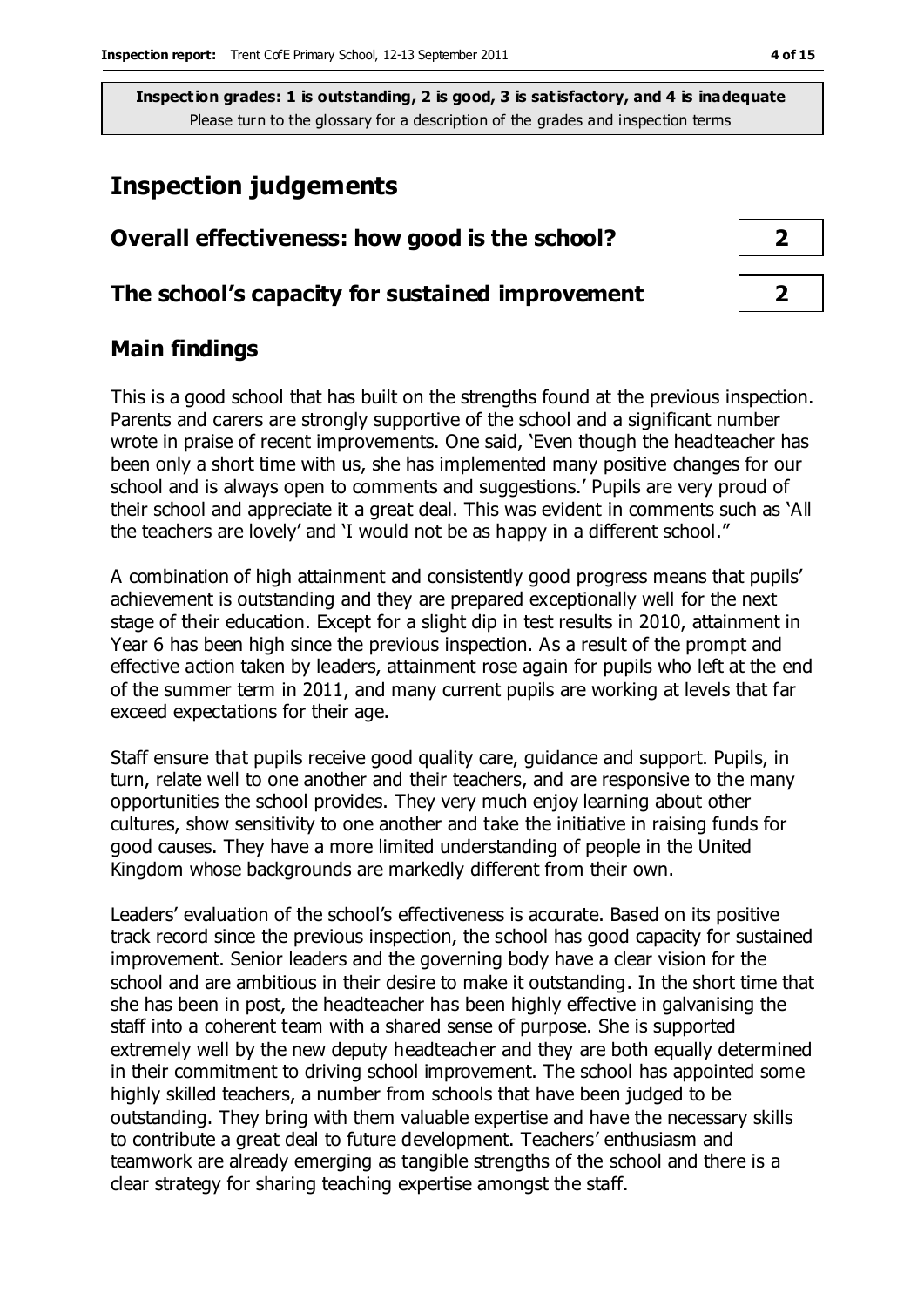## **Inspection judgements**

| Overall effectiveness: how good is the school?  |  |
|-------------------------------------------------|--|
| The school's capacity for sustained improvement |  |

## **Main findings**

This is a good school that has built on the strengths found at the previous inspection. Parents and carers are strongly supportive of the school and a significant number wrote in praise of recent improvements. One said, 'Even though the headteacher has been only a short time with us, she has implemented many positive changes for our school and is always open to comments and suggestions.' Pupils are very proud of their school and appreciate it a great deal. This was evident in comments such as 'All the teachers are lovely' and 'I would not be as happy in a different school.''

A combination of high attainment and consistently good progress means that pupils' achievement is outstanding and they are prepared exceptionally well for the next stage of their education. Except for a slight dip in test results in 2010, attainment in Year 6 has been high since the previous inspection. As a result of the prompt and effective action taken by leaders, attainment rose again for pupils who left at the end of the summer term in 2011, and many current pupils are working at levels that far exceed expectations for their age.

Staff ensure that pupils receive good quality care, guidance and support. Pupils, in turn, relate well to one another and their teachers, and are responsive to the many opportunities the school provides. They very much enjoy learning about other cultures, show sensitivity to one another and take the initiative in raising funds for good causes. They have a more limited understanding of people in the United Kingdom whose backgrounds are markedly different from their own.

Leaders' evaluation of the school's effectiveness is accurate. Based on its positive track record since the previous inspection, the school has good capacity for sustained improvement. Senior leaders and the governing body have a clear vision for the school and are ambitious in their desire to make it outstanding. In the short time that she has been in post, the headteacher has been highly effective in galvanising the staff into a coherent team with a shared sense of purpose. She is supported extremely well by the new deputy headteacher and they are both equally determined in their commitment to driving school improvement. The school has appointed some highly skilled teachers, a number from schools that have been judged to be outstanding. They bring with them valuable expertise and have the necessary skills to contribute a great deal to future development. Teachers' enthusiasm and teamwork are already emerging as tangible strengths of the school and there is a clear strategy for sharing teaching expertise amongst the staff.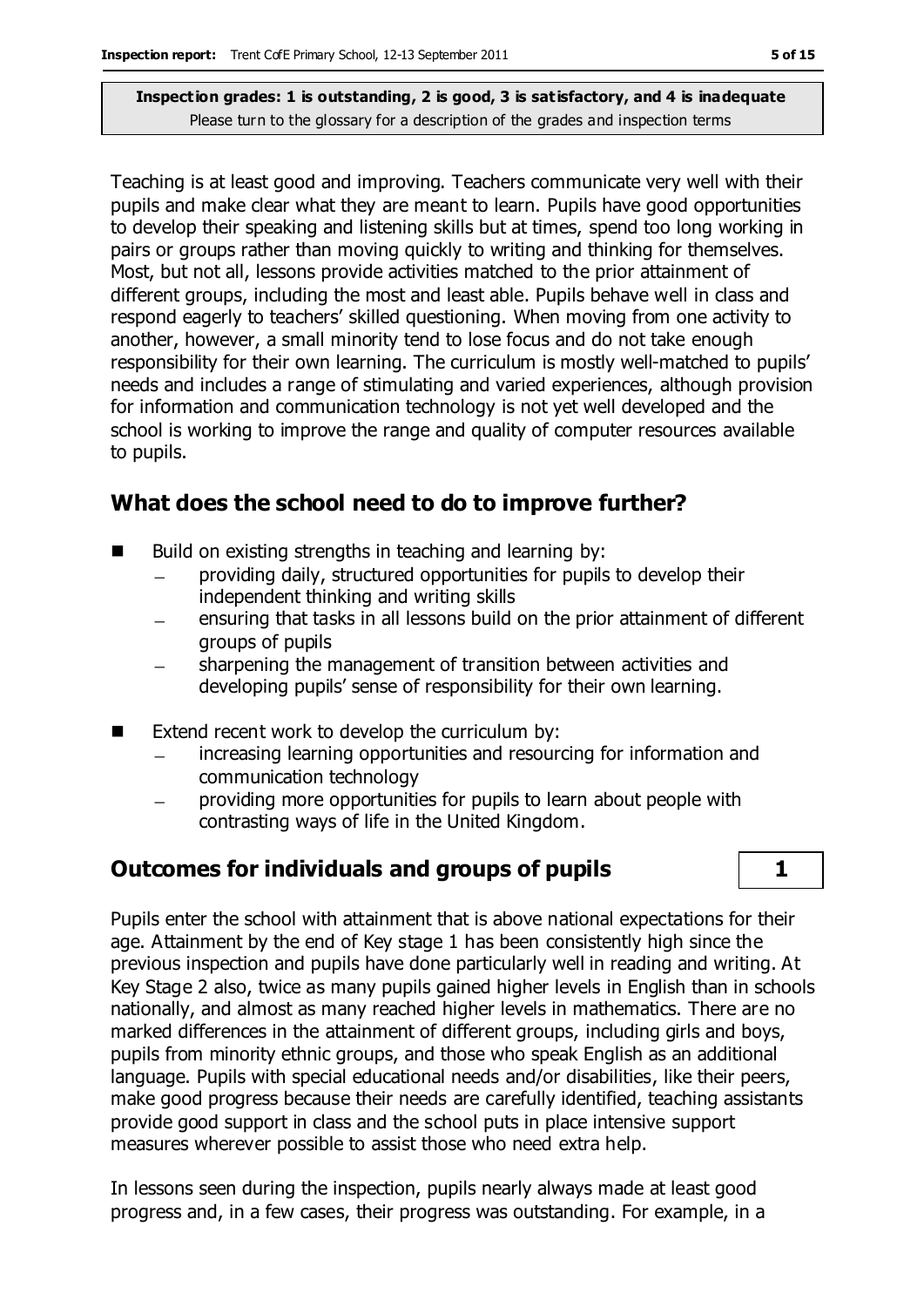Teaching is at least good and improving. Teachers communicate very well with their pupils and make clear what they are meant to learn. Pupils have good opportunities to develop their speaking and listening skills but at times, spend too long working in pairs or groups rather than moving quickly to writing and thinking for themselves. Most, but not all, lessons provide activities matched to the prior attainment of different groups, including the most and least able. Pupils behave well in class and respond eagerly to teachers' skilled questioning. When moving from one activity to another, however, a small minority tend to lose focus and do not take enough responsibility for their own learning. The curriculum is mostly well-matched to pupils' needs and includes a range of stimulating and varied experiences, although provision for information and communication technology is not yet well developed and the school is working to improve the range and quality of computer resources available to pupils.

## **What does the school need to do to improve further?**

- Build on existing strengths in teaching and learning by:
	- providing daily, structured opportunities for pupils to develop their independent thinking and writing skills
	- ensuring that tasks in all lessons build on the prior attainment of different  $\equiv$ groups of pupils
	- sharpening the management of transition between activities and developing pupils' sense of responsibility for their own learning.
- $\blacksquare$  Extend recent work to develop the curriculum by:
	- increasing learning opportunities and resourcing for information and communication technology
	- providing more opportunities for pupils to learn about people with contrasting ways of life in the United Kingdom.

# **Outcomes for individuals and groups of pupils 1**



Pupils enter the school with attainment that is above national expectations for their age. Attainment by the end of Key stage 1 has been consistently high since the previous inspection and pupils have done particularly well in reading and writing. At Key Stage 2 also, twice as many pupils gained higher levels in English than in schools nationally, and almost as many reached higher levels in mathematics. There are no marked differences in the attainment of different groups, including girls and boys, pupils from minority ethnic groups, and those who speak English as an additional language. Pupils with special educational needs and/or disabilities, like their peers, make good progress because their needs are carefully identified, teaching assistants provide good support in class and the school puts in place intensive support measures wherever possible to assist those who need extra help.

In lessons seen during the inspection, pupils nearly always made at least good progress and, in a few cases, their progress was outstanding. For example, in a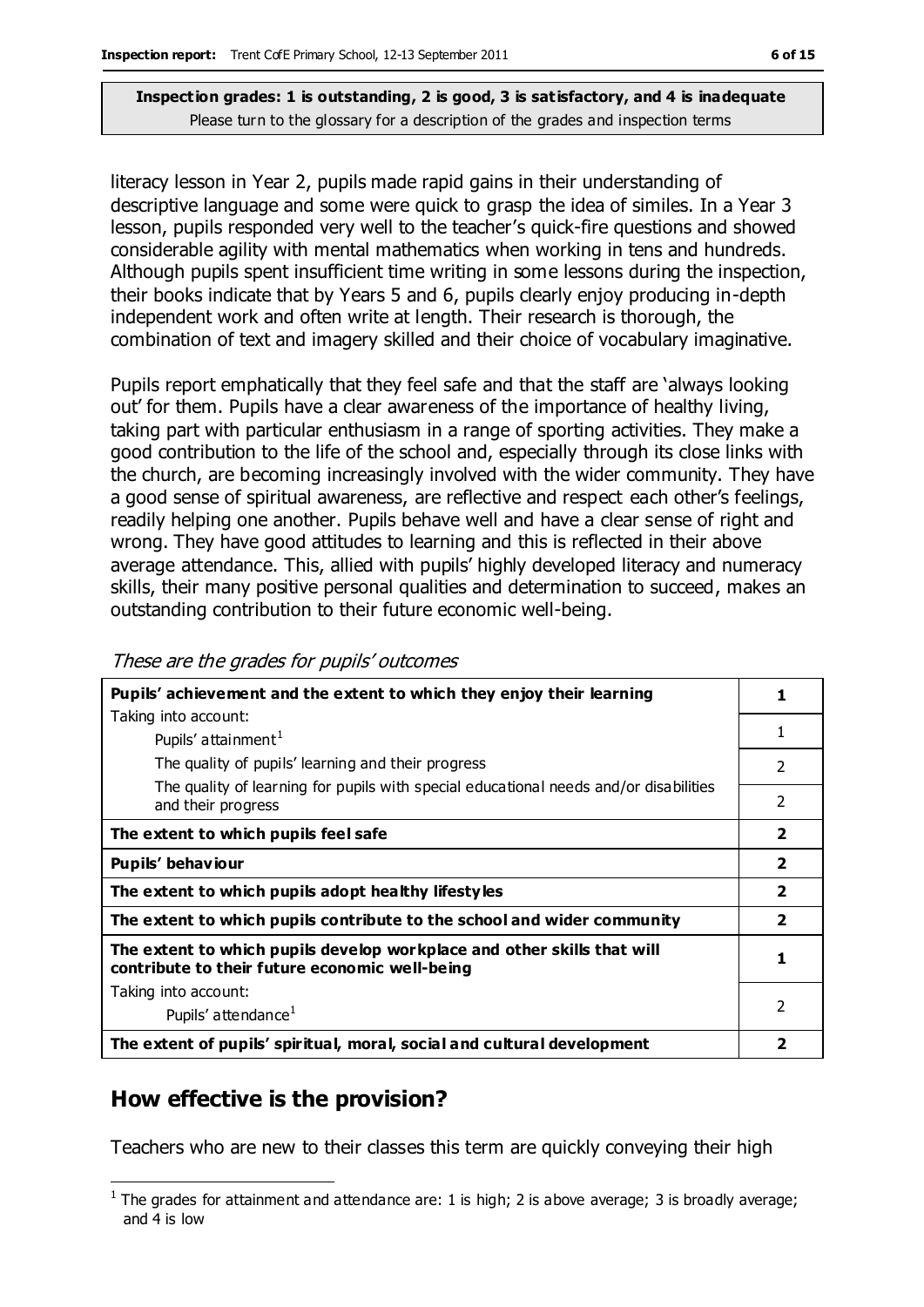literacy lesson in Year 2, pupils made rapid gains in their understanding of descriptive language and some were quick to grasp the idea of similes. In a Year 3 lesson, pupils responded very well to the teacher's quick-fire questions and showed considerable agility with mental mathematics when working in tens and hundreds. Although pupils spent insufficient time writing in some lessons during the inspection, their books indicate that by Years 5 and 6, pupils clearly enjoy producing in-depth independent work and often write at length. Their research is thorough, the combination of text and imagery skilled and their choice of vocabulary imaginative.

Pupils report emphatically that they feel safe and that the staff are 'always looking out' for them. Pupils have a clear awareness of the importance of healthy living, taking part with particular enthusiasm in a range of sporting activities. They make a good contribution to the life of the school and, especially through its close links with the church, are becoming increasingly involved with the wider community. They have a good sense of spiritual awareness, are reflective and respect each other's feelings, readily helping one another. Pupils behave well and have a clear sense of right and wrong. They have good attitudes to learning and this is reflected in their above average attendance. This, allied with pupils' highly developed literacy and numeracy skills, their many positive personal qualities and determination to succeed, makes an outstanding contribution to their future economic well-being.

| Pupils' achievement and the extent to which they enjoy their learning                                                     |                          |
|---------------------------------------------------------------------------------------------------------------------------|--------------------------|
| Taking into account:                                                                                                      |                          |
| Pupils' attainment <sup>1</sup>                                                                                           | 1                        |
| The quality of pupils' learning and their progress                                                                        | $\mathcal{P}$            |
| The quality of learning for pupils with special educational needs and/or disabilities<br>and their progress               | $\overline{\phantom{a}}$ |
| The extent to which pupils feel safe                                                                                      | $\overline{\mathbf{2}}$  |
| Pupils' behaviour                                                                                                         | $\overline{2}$           |
| The extent to which pupils adopt healthy lifestyles                                                                       | $\overline{\mathbf{2}}$  |
| The extent to which pupils contribute to the school and wider community                                                   | $\overline{\mathbf{2}}$  |
| The extent to which pupils develop workplace and other skills that will<br>contribute to their future economic well-being |                          |
| Taking into account:                                                                                                      |                          |
| Pupils' attendance <sup>1</sup>                                                                                           | 2                        |
| The extent of pupils' spiritual, moral, social and cultural development                                                   |                          |

#### These are the grades for pupils' outcomes

## **How effective is the provision?**

 $\overline{a}$ 

Teachers who are new to their classes this term are quickly conveying their high

 $<sup>1</sup>$  The grades for attainment and attendance are: 1 is high; 2 is above average; 3 is broadly average;</sup> and 4 is low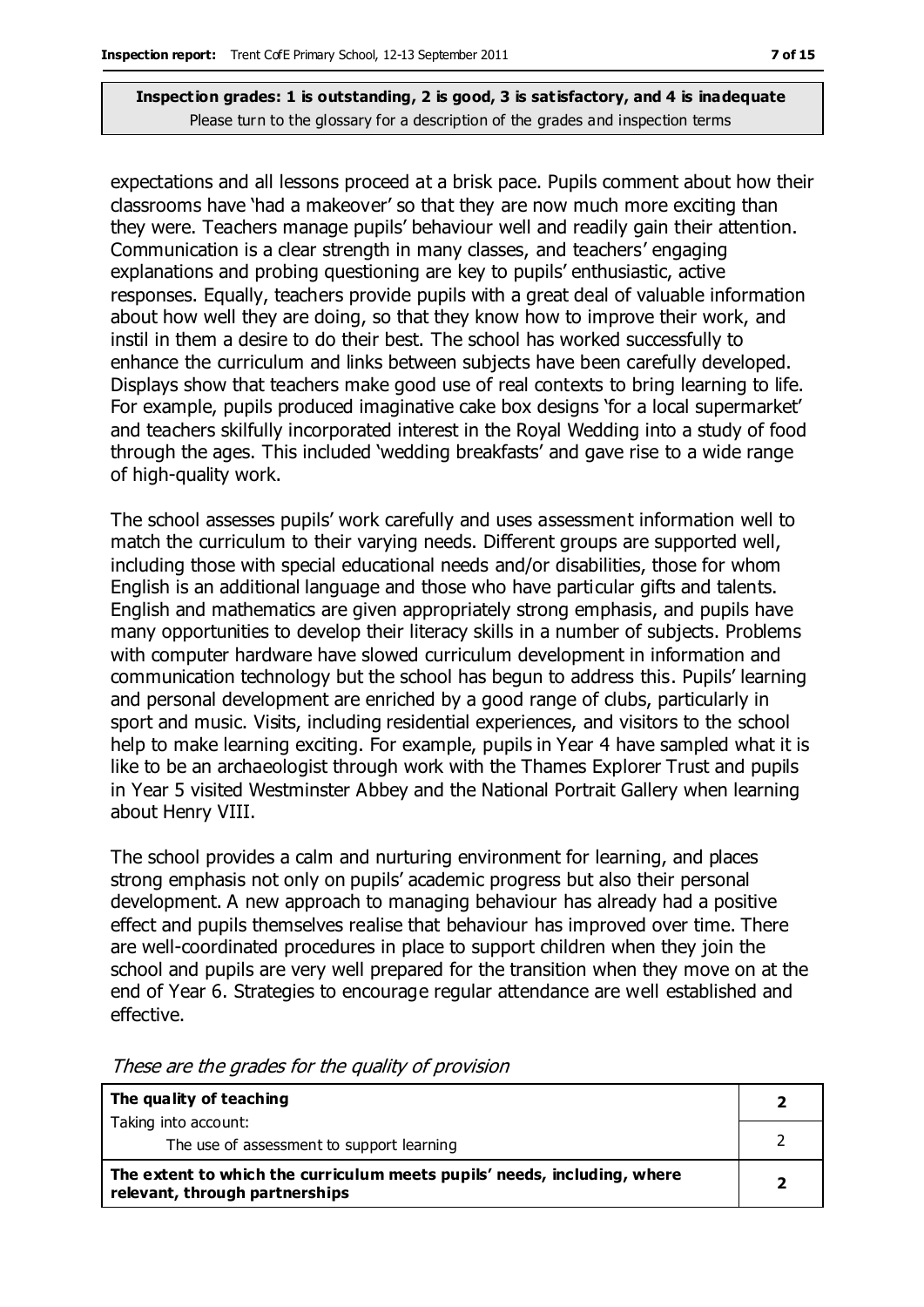expectations and all lessons proceed at a brisk pace. Pupils comment about how their classrooms have 'had a makeover' so that they are now much more exciting than they were. Teachers manage pupils' behaviour well and readily gain their attention. Communication is a clear strength in many classes, and teachers' engaging explanations and probing questioning are key to pupils' enthusiastic, active responses. Equally, teachers provide pupils with a great deal of valuable information about how well they are doing, so that they know how to improve their work, and instil in them a desire to do their best. The school has worked successfully to enhance the curriculum and links between subjects have been carefully developed. Displays show that teachers make good use of real contexts to bring learning to life. For example, pupils produced imaginative cake box designs 'for a local supermarket' and teachers skilfully incorporated interest in the Royal Wedding into a study of food through the ages. This included 'wedding breakfasts' and gave rise to a wide range of high-quality work.

The school assesses pupils' work carefully and uses assessment information well to match the curriculum to their varying needs. Different groups are supported well, including those with special educational needs and/or disabilities, those for whom English is an additional language and those who have particular gifts and talents. English and mathematics are given appropriately strong emphasis, and pupils have many opportunities to develop their literacy skills in a number of subjects. Problems with computer hardware have slowed curriculum development in information and communication technology but the school has begun to address this. Pupils' learning and personal development are enriched by a good range of clubs, particularly in sport and music. Visits, including residential experiences, and visitors to the school help to make learning exciting. For example, pupils in Year 4 have sampled what it is like to be an archaeologist through work with the Thames Explorer Trust and pupils in Year 5 visited Westminster Abbey and the National Portrait Gallery when learning about Henry VIII.

The school provides a calm and nurturing environment for learning, and places strong emphasis not only on pupils' academic progress but also their personal development. A new approach to managing behaviour has already had a positive effect and pupils themselves realise that behaviour has improved over time. There are well-coordinated procedures in place to support children when they join the school and pupils are very well prepared for the transition when they move on at the end of Year 6. Strategies to encourage regular attendance are well established and effective.

| The quality of teaching                                                                                    |   |
|------------------------------------------------------------------------------------------------------------|---|
| Taking into account:                                                                                       |   |
| The use of assessment to support learning                                                                  |   |
| The extent to which the curriculum meets pupils' needs, including, where<br>relevant, through partnerships | ר |

These are the grades for the quality of provision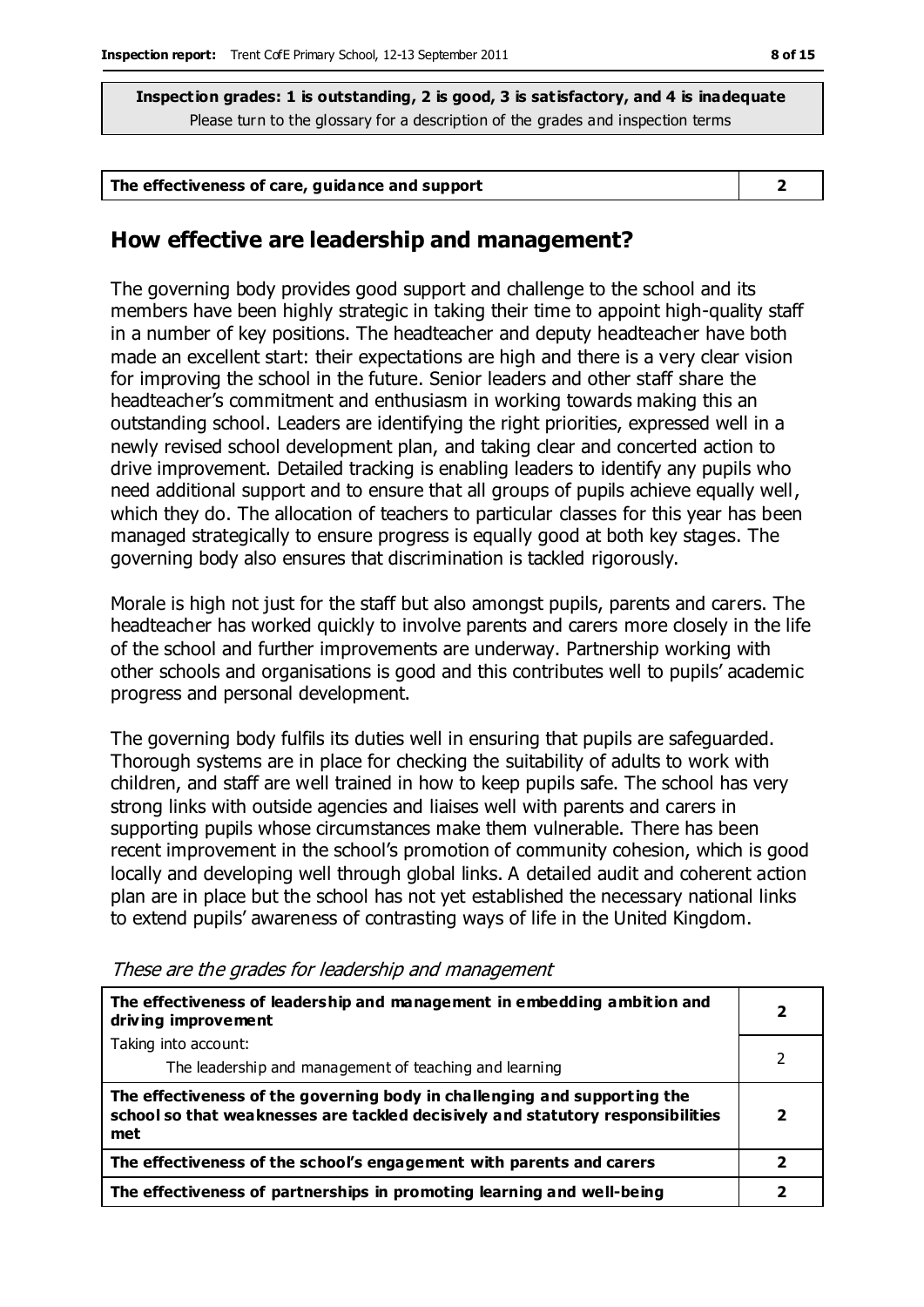| The effectiveness of care, guidance and support |  |
|-------------------------------------------------|--|
|-------------------------------------------------|--|

#### **How effective are leadership and management?**

The governing body provides good support and challenge to the school and its members have been highly strategic in taking their time to appoint high-quality staff in a number of key positions. The headteacher and deputy headteacher have both made an excellent start: their expectations are high and there is a very clear vision for improving the school in the future. Senior leaders and other staff share the headteacher's commitment and enthusiasm in working towards making this an outstanding school. Leaders are identifying the right priorities, expressed well in a newly revised school development plan, and taking clear and concerted action to drive improvement. Detailed tracking is enabling leaders to identify any pupils who need additional support and to ensure that all groups of pupils achieve equally well, which they do. The allocation of teachers to particular classes for this year has been managed strategically to ensure progress is equally good at both key stages. The governing body also ensures that discrimination is tackled rigorously.

Morale is high not just for the staff but also amongst pupils, parents and carers. The headteacher has worked quickly to involve parents and carers more closely in the life of the school and further improvements are underway. Partnership working with other schools and organisations is good and this contributes well to pupils' academic progress and personal development.

The governing body fulfils its duties well in ensuring that pupils are safeguarded. Thorough systems are in place for checking the suitability of adults to work with children, and staff are well trained in how to keep pupils safe. The school has very strong links with outside agencies and liaises well with parents and carers in supporting pupils whose circumstances make them vulnerable. There has been recent improvement in the school's promotion of community cohesion, which is good locally and developing well through global links. A detailed audit and coherent action plan are in place but the school has not yet established the necessary national links to extend pupils' awareness of contrasting ways of life in the United Kingdom.

| The effectiveness of leadership and management in embedding ambition and<br>driving improvement                                                                     |    |
|---------------------------------------------------------------------------------------------------------------------------------------------------------------------|----|
| Taking into account:                                                                                                                                                |    |
| The leadership and management of teaching and learning                                                                                                              |    |
| The effectiveness of the governing body in challenging and supporting the<br>school so that weaknesses are tackled decisively and statutory responsibilities<br>met | ני |
| The effectiveness of the school's engagement with parents and carers                                                                                                | 7  |
| The effectiveness of partnerships in promoting learning and well-being                                                                                              |    |

These are the grades for leadership and management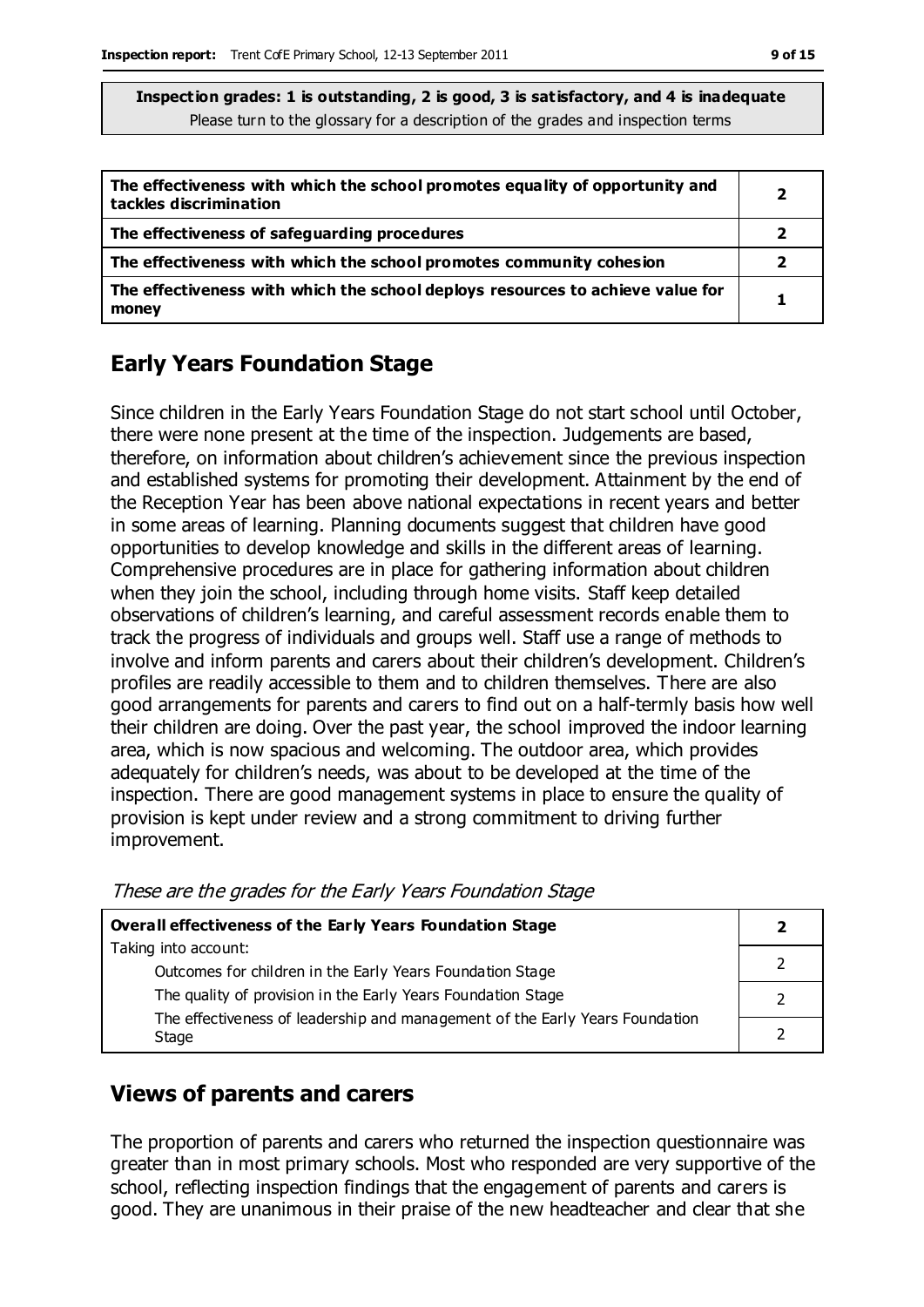| The effectiveness with which the school promotes equality of opportunity and<br>tackles discrimination | 2 |
|--------------------------------------------------------------------------------------------------------|---|
| The effectiveness of safeguarding procedures                                                           |   |
| The effectiveness with which the school promotes community cohesion                                    | 2 |
| The effectiveness with which the school deploys resources to achieve value for<br>money                |   |

## **Early Years Foundation Stage**

Since children in the Early Years Foundation Stage do not start school until October, there were none present at the time of the inspection. Judgements are based, therefore, on information about children's achievement since the previous inspection and established systems for promoting their development. Attainment by the end of the Reception Year has been above national expectations in recent years and better in some areas of learning. Planning documents suggest that children have good opportunities to develop knowledge and skills in the different areas of learning. Comprehensive procedures are in place for gathering information about children when they join the school, including through home visits. Staff keep detailed observations of children's learning, and careful assessment records enable them to track the progress of individuals and groups well. Staff use a range of methods to involve and inform parents and carers about their children's development. Children's profiles are readily accessible to them and to children themselves. There are also good arrangements for parents and carers to find out on a half-termly basis how well their children are doing. Over the past year, the school improved the indoor learning area, which is now spacious and welcoming. The outdoor area, which provides adequately for children's needs, was about to be developed at the time of the inspection. There are good management systems in place to ensure the quality of provision is kept under review and a strong commitment to driving further improvement.

| Overall effectiveness of the Early Years Foundation Stage                    |  |
|------------------------------------------------------------------------------|--|
| Taking into account:                                                         |  |
| Outcomes for children in the Early Years Foundation Stage                    |  |
| The quality of provision in the Early Years Foundation Stage                 |  |
| The effectiveness of leadership and management of the Early Years Foundation |  |
| Stage                                                                        |  |

These are the grades for the Early Years Foundation Stage

## **Views of parents and carers**

The proportion of parents and carers who returned the inspection questionnaire was greater than in most primary schools. Most who responded are very supportive of the school, reflecting inspection findings that the engagement of parents and carers is good. They are unanimous in their praise of the new headteacher and clear that she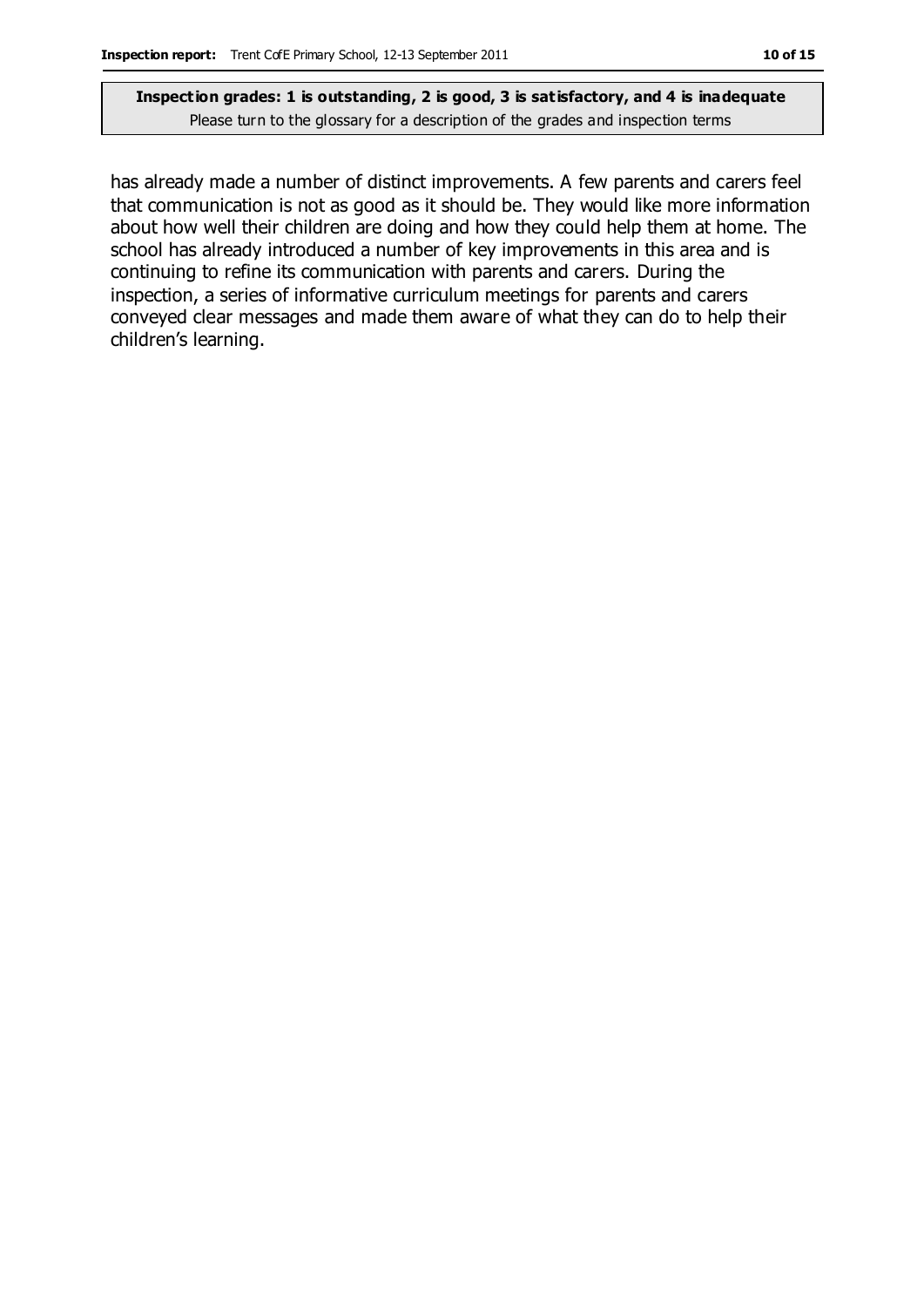has already made a number of distinct improvements. A few parents and carers feel that communication is not as good as it should be. They would like more information about how well their children are doing and how they could help them at home. The school has already introduced a number of key improvements in this area and is continuing to refine its communication with parents and carers. During the inspection, a series of informative curriculum meetings for parents and carers conveyed clear messages and made them aware of what they can do to help their children's learning.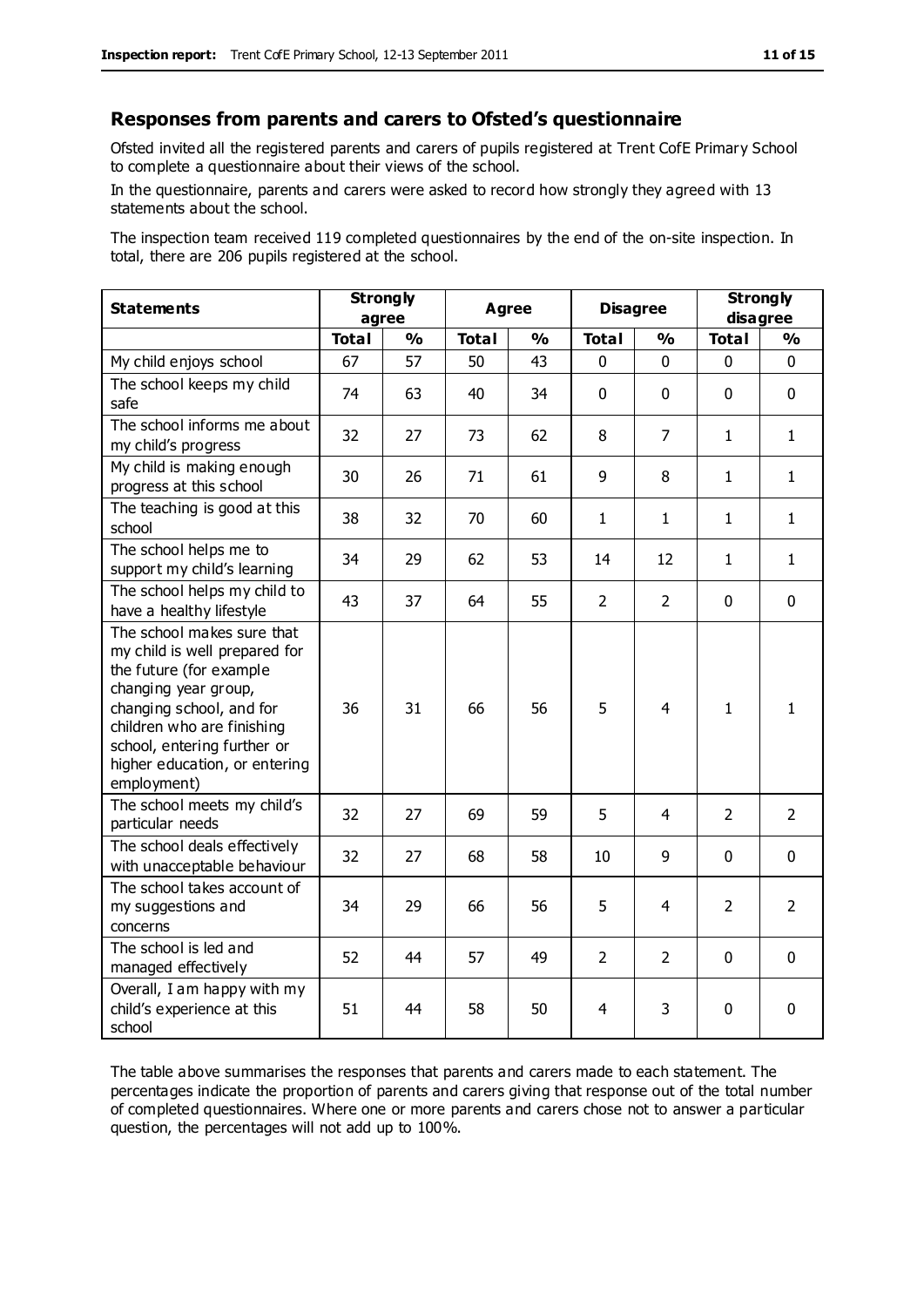#### **Responses from parents and carers to Ofsted's questionnaire**

Ofsted invited all the registered parents and carers of pupils registered at Trent CofE Primary School to complete a questionnaire about their views of the school.

In the questionnaire, parents and carers were asked to record how strongly they agreed with 13 statements about the school.

The inspection team received 119 completed questionnaires by the end of the on-site inspection. In total, there are 206 pupils registered at the school.

| <b>Statements</b>                                                                                                                                                                                                                                       | <b>Strongly</b><br>agree |               | <b>Agree</b> |               | <b>Disagree</b> |                | <b>Strongly</b><br>disagree |                |
|---------------------------------------------------------------------------------------------------------------------------------------------------------------------------------------------------------------------------------------------------------|--------------------------|---------------|--------------|---------------|-----------------|----------------|-----------------------------|----------------|
|                                                                                                                                                                                                                                                         | <b>Total</b>             | $\frac{0}{0}$ | <b>Total</b> | $\frac{0}{0}$ | <b>Total</b>    | $\frac{0}{0}$  | <b>Total</b>                | $\frac{1}{2}$  |
| My child enjoys school                                                                                                                                                                                                                                  | 67                       | 57            | 50           | 43            | 0               | 0              | 0                           | $\Omega$       |
| The school keeps my child<br>safe                                                                                                                                                                                                                       | 74                       | 63            | 40           | 34            | $\mathbf 0$     | $\mathbf 0$    | $\mathbf{0}$                | $\mathbf 0$    |
| The school informs me about<br>my child's progress                                                                                                                                                                                                      | 32                       | 27            | 73           | 62            | 8               | $\overline{7}$ | $\mathbf{1}$                | $\mathbf{1}$   |
| My child is making enough<br>progress at this school                                                                                                                                                                                                    | 30                       | 26            | 71           | 61            | 9               | 8              | $\mathbf{1}$                | $\mathbf{1}$   |
| The teaching is good at this<br>school                                                                                                                                                                                                                  | 38                       | 32            | 70           | 60            | $\mathbf{1}$    | 1              | 1                           | $\mathbf{1}$   |
| The school helps me to<br>support my child's learning                                                                                                                                                                                                   | 34                       | 29            | 62           | 53            | 14              | 12             | 1                           | $\mathbf{1}$   |
| The school helps my child to<br>have a healthy lifestyle                                                                                                                                                                                                | 43                       | 37            | 64           | 55            | $\overline{2}$  | $\overline{2}$ | $\mathbf 0$                 | $\mathbf 0$    |
| The school makes sure that<br>my child is well prepared for<br>the future (for example<br>changing year group,<br>changing school, and for<br>children who are finishing<br>school, entering further or<br>higher education, or entering<br>employment) | 36                       | 31            | 66           | 56            | 5               | $\overline{4}$ | $\mathbf{1}$                | $\mathbf{1}$   |
| The school meets my child's<br>particular needs                                                                                                                                                                                                         | 32                       | 27            | 69           | 59            | 5               | 4              | $\overline{2}$              | $\overline{2}$ |
| The school deals effectively<br>with unacceptable behaviour                                                                                                                                                                                             | 32                       | 27            | 68           | 58            | 10              | 9              | $\mathbf 0$                 | $\mathbf 0$    |
| The school takes account of<br>my suggestions and<br>concerns                                                                                                                                                                                           | 34                       | 29            | 66           | 56            | 5               | 4              | $\overline{2}$              | $\overline{2}$ |
| The school is led and<br>managed effectively                                                                                                                                                                                                            | 52                       | 44            | 57           | 49            | $\overline{2}$  | $\overline{2}$ | $\mathbf 0$                 | $\mathbf 0$    |
| Overall, I am happy with my<br>child's experience at this<br>school                                                                                                                                                                                     | 51                       | 44            | 58           | 50            | 4               | 3              | $\mathbf 0$                 | 0              |

The table above summarises the responses that parents and carers made to each statement. The percentages indicate the proportion of parents and carers giving that response out of the total number of completed questionnaires. Where one or more parents and carers chose not to answer a particular question, the percentages will not add up to 100%.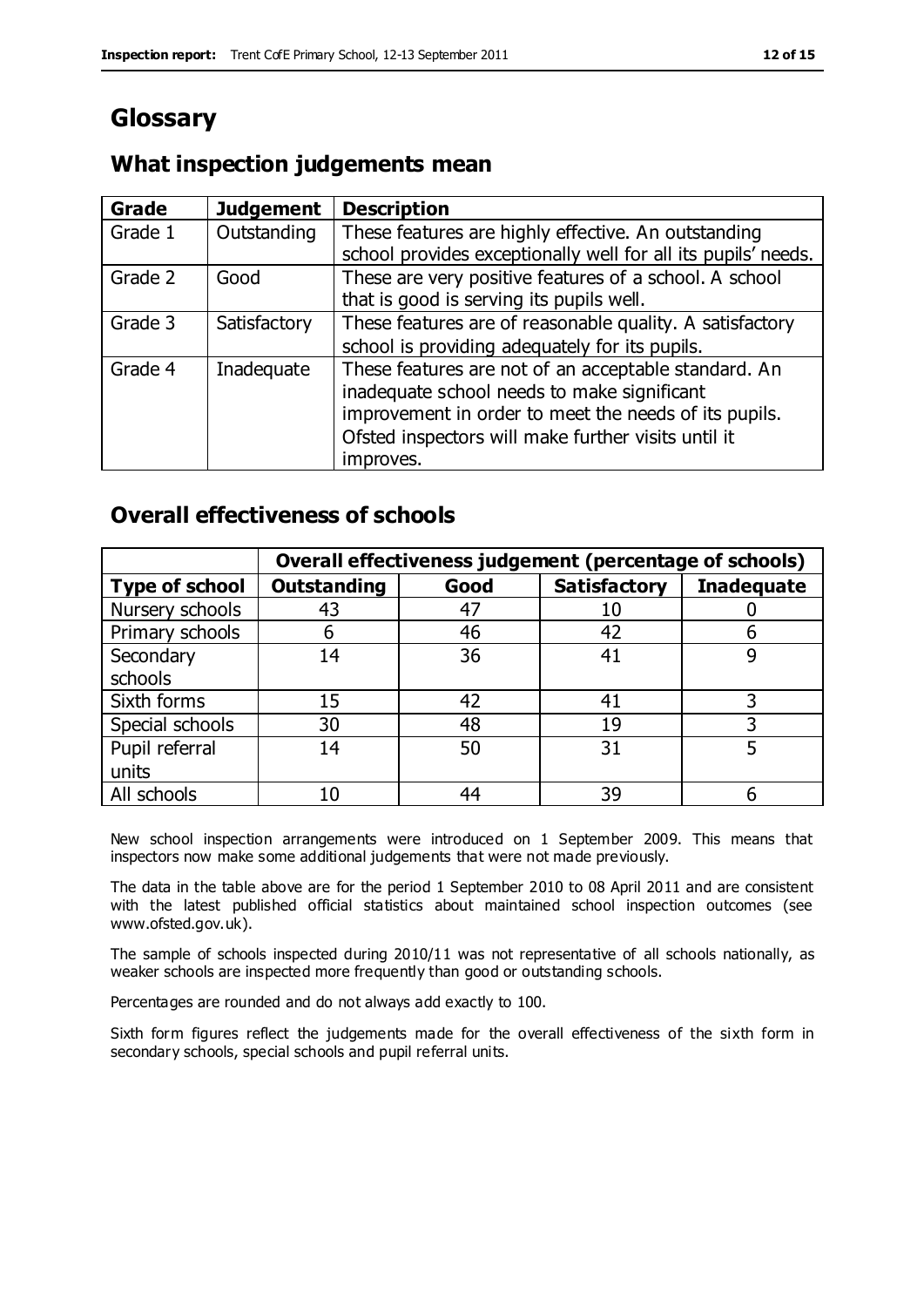# **Glossary**

## **What inspection judgements mean**

| <b>Grade</b> | <b>Judgement</b> | <b>Description</b>                                            |
|--------------|------------------|---------------------------------------------------------------|
| Grade 1      | Outstanding      | These features are highly effective. An outstanding           |
|              |                  | school provides exceptionally well for all its pupils' needs. |
| Grade 2      | Good             | These are very positive features of a school. A school        |
|              |                  | that is good is serving its pupils well.                      |
| Grade 3      | Satisfactory     | These features are of reasonable quality. A satisfactory      |
|              |                  | school is providing adequately for its pupils.                |
| Grade 4      | Inadequate       | These features are not of an acceptable standard. An          |
|              |                  | inadequate school needs to make significant                   |
|              |                  | improvement in order to meet the needs of its pupils.         |
|              |                  | Ofsted inspectors will make further visits until it           |
|              |                  | improves.                                                     |

#### **Overall effectiveness of schools**

|                       |                    |      | Overall effectiveness judgement (percentage of schools) |                   |
|-----------------------|--------------------|------|---------------------------------------------------------|-------------------|
| <b>Type of school</b> | <b>Outstanding</b> | Good | <b>Satisfactory</b>                                     | <b>Inadequate</b> |
| Nursery schools       | 43                 | 47   |                                                         |                   |
| Primary schools       | h                  | 46   | 42                                                      |                   |
| Secondary             | 14                 | 36   | 41                                                      |                   |
| schools               |                    |      |                                                         |                   |
| Sixth forms           | 15                 | 42   | 41                                                      | 3                 |
| Special schools       | 30                 | 48   | 19                                                      |                   |
| Pupil referral        | 14                 | 50   | 31                                                      |                   |
| units                 |                    |      |                                                         |                   |
| All schools           | 10                 | 44   | 39                                                      |                   |

New school inspection arrangements were introduced on 1 September 2009. This means that inspectors now make some additional judgements that were not made previously.

The data in the table above are for the period 1 September 2010 to 08 April 2011 and are consistent with the latest published official statistics about maintained school inspection outcomes (see www.ofsted.gov.uk).

The sample of schools inspected during 2010/11 was not representative of all schools nationally, as weaker schools are inspected more frequently than good or outstanding schools.

Percentages are rounded and do not always add exactly to 100.

Sixth form figures reflect the judgements made for the overall effectiveness of the sixth form in secondary schools, special schools and pupil referral units.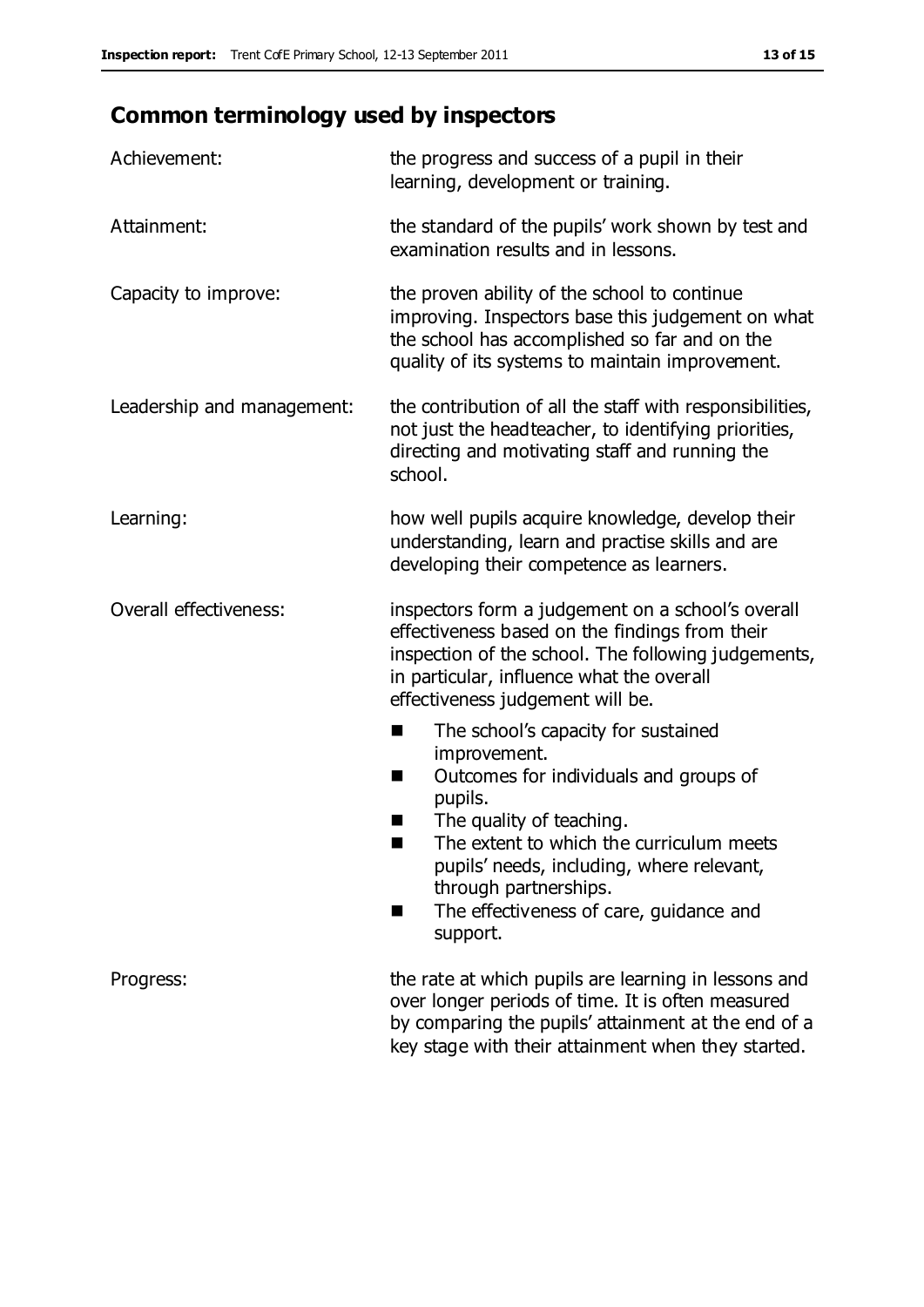# **Common terminology used by inspectors**

| Achievement:               | the progress and success of a pupil in their<br>learning, development or training.                                                                                                                                                                                                                                              |  |
|----------------------------|---------------------------------------------------------------------------------------------------------------------------------------------------------------------------------------------------------------------------------------------------------------------------------------------------------------------------------|--|
| Attainment:                | the standard of the pupils' work shown by test and<br>examination results and in lessons.                                                                                                                                                                                                                                       |  |
| Capacity to improve:       | the proven ability of the school to continue<br>improving. Inspectors base this judgement on what<br>the school has accomplished so far and on the<br>quality of its systems to maintain improvement.                                                                                                                           |  |
| Leadership and management: | the contribution of all the staff with responsibilities,<br>not just the headteacher, to identifying priorities,<br>directing and motivating staff and running the<br>school.                                                                                                                                                   |  |
| Learning:                  | how well pupils acquire knowledge, develop their<br>understanding, learn and practise skills and are<br>developing their competence as learners.                                                                                                                                                                                |  |
| Overall effectiveness:     | inspectors form a judgement on a school's overall<br>effectiveness based on the findings from their<br>inspection of the school. The following judgements,<br>in particular, influence what the overall<br>effectiveness judgement will be.                                                                                     |  |
|                            | The school's capacity for sustained<br>٠<br>improvement.<br>Outcomes for individuals and groups of<br>ш<br>pupils.<br>The quality of teaching.<br>The extent to which the curriculum meets<br>a ka<br>pupils' needs, including, where relevant,<br>through partnerships.<br>The effectiveness of care, guidance and<br>support. |  |
| Progress:                  | the rate at which pupils are learning in lessons and<br>over longer periods of time. It is often measured<br>by comparing the pupils' attainment at the end of a<br>key stage with their attainment when they started.                                                                                                          |  |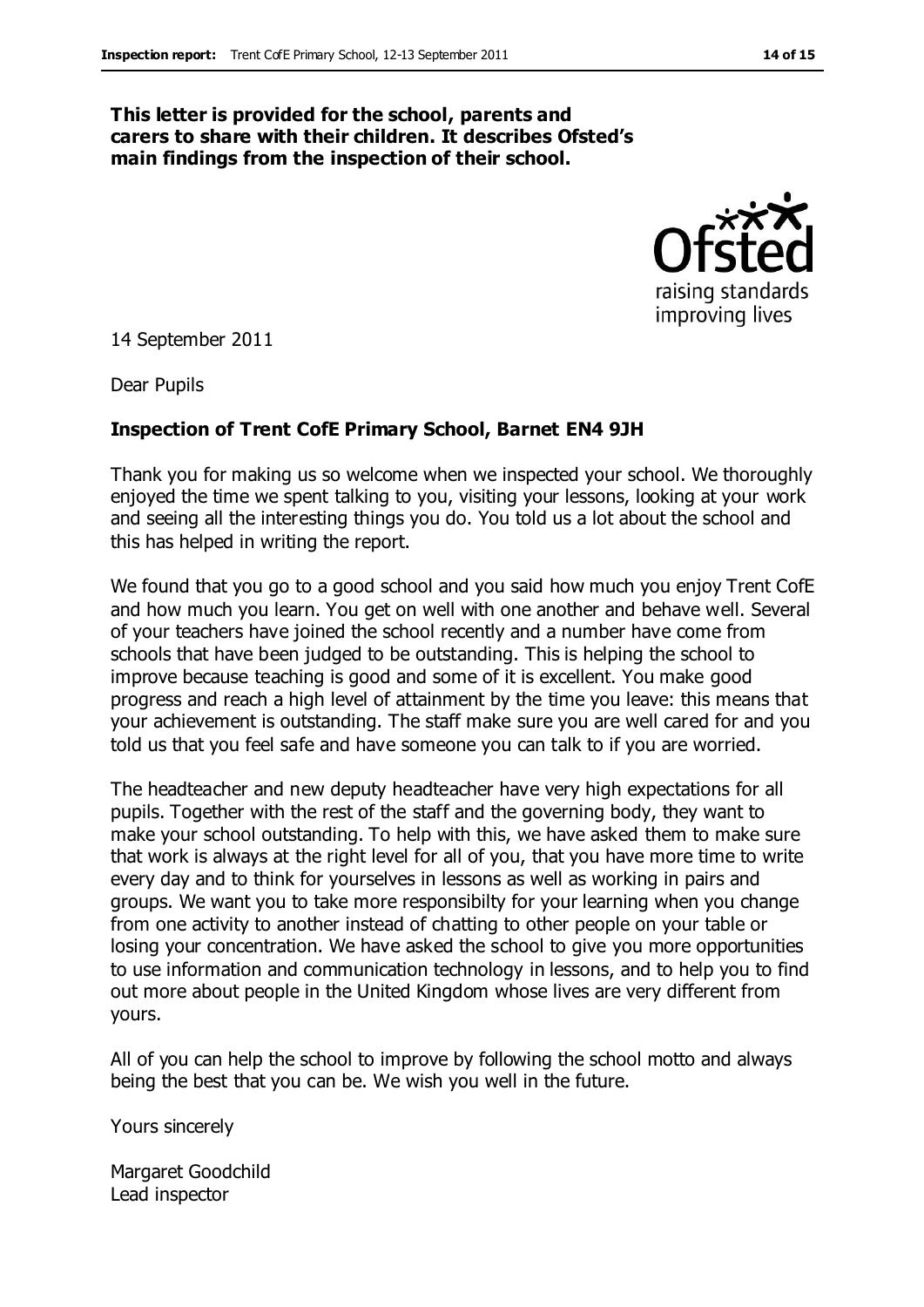#### **This letter is provided for the school, parents and carers to share with their children. It describes Ofsted's main findings from the inspection of their school.**



14 September 2011

Dear Pupils

#### **Inspection of Trent CofE Primary School, Barnet EN4 9JH**

Thank you for making us so welcome when we inspected your school. We thoroughly enjoyed the time we spent talking to you, visiting your lessons, looking at your work and seeing all the interesting things you do. You told us a lot about the school and this has helped in writing the report.

We found that you go to a good school and you said how much you enjoy Trent CofE and how much you learn. You get on well with one another and behave well. Several of your teachers have joined the school recently and a number have come from schools that have been judged to be outstanding. This is helping the school to improve because teaching is good and some of it is excellent. You make good progress and reach a high level of attainment by the time you leave: this means that your achievement is outstanding. The staff make sure you are well cared for and you told us that you feel safe and have someone you can talk to if you are worried.

The headteacher and new deputy headteacher have very high expectations for all pupils. Together with the rest of the staff and the governing body, they want to make your school outstanding. To help with this, we have asked them to make sure that work is always at the right level for all of you, that you have more time to write every day and to think for yourselves in lessons as well as working in pairs and groups. We want you to take more responsibilty for your learning when you change from one activity to another instead of chatting to other people on your table or losing your concentration. We have asked the school to give you more opportunities to use information and communication technology in lessons, and to help you to find out more about people in the United Kingdom whose lives are very different from yours.

All of you can help the school to improve by following the school motto and always being the best that you can be. We wish you well in the future.

Yours sincerely

Margaret Goodchild Lead inspector